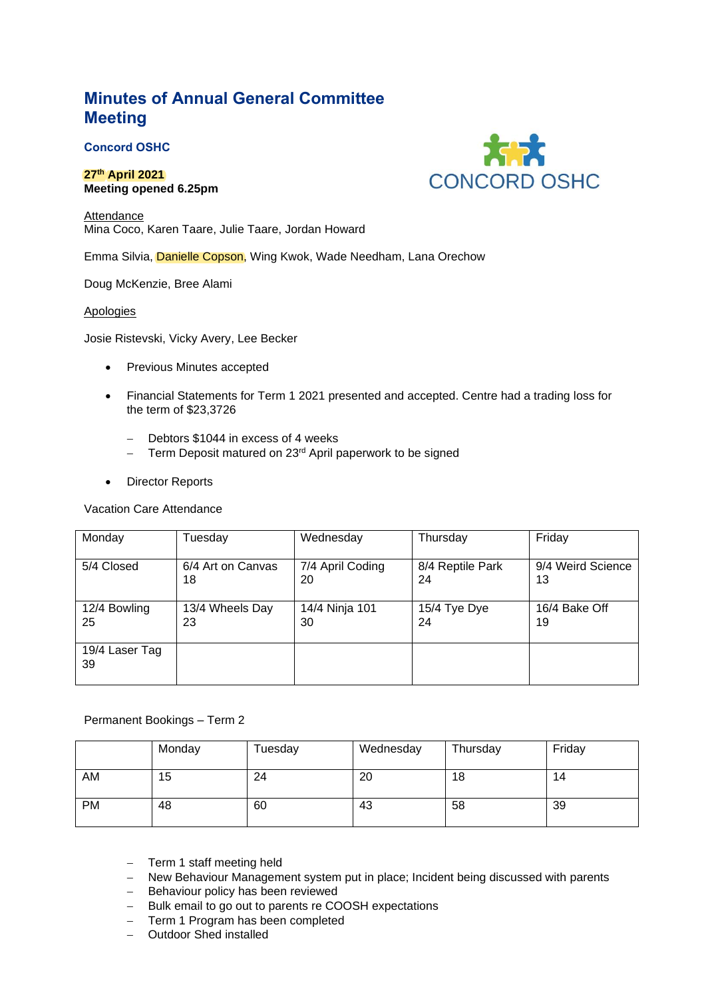# **Minutes of Annual General Committee Meeting**

#### **Concord OSHC**

#### **27th April 2021 Meeting opened 6.25pm**

Attendance Mina Coco, Karen Taare, Julie Taare, Jordan Howard

Emma Silvia, Danielle Copson, Wing Kwok, Wade Needham, Lana Orechow

Doug McKenzie, Bree Alami

## **Apologies**

Josie Ristevski, Vicky Avery, Lee Becker

- Previous Minutes accepted
- Financial Statements for Term 1 2021 presented and accepted. Centre had a trading loss for the term of \$23,3726
	- − Debtors \$1044 in excess of 4 weeks
	- − Term Deposit matured on 23rd April paperwork to be signed
- Director Reports

Vacation Care Attendance

| Monday               | Tuesday           | Wednesday        | Thursday         | Friday            |
|----------------------|-------------------|------------------|------------------|-------------------|
| 5/4 Closed           | 6/4 Art on Canvas | 7/4 April Coding | 8/4 Reptile Park | 9/4 Weird Science |
|                      | 18                | 20               | 24               | 13                |
| 12/4 Bowling         | 13/4 Wheels Day   | 14/4 Ninja 101   | 15/4 Tye Dye     | 16/4 Bake Off     |
| 25                   | 23                | 30               | 24               | 19                |
| 19/4 Laser Tag<br>39 |                   |                  |                  |                   |

# Permanent Bookings – Term 2

|           | Monday | Tuesday | Wednesday | Thursday | Friday |
|-----------|--------|---------|-----------|----------|--------|
| AM        | 15     | 24      | 20        | 18       | 14     |
| <b>PM</b> | 48     | 60      | 43        | 58       | 39     |

- − Term 1 staff meeting held
- − New Behaviour Management system put in place; Incident being discussed with parents
- − Behaviour policy has been reviewed
- − Bulk email to go out to parents re COOSH expectations
- − Term 1 Program has been completed
- − Outdoor Shed installed